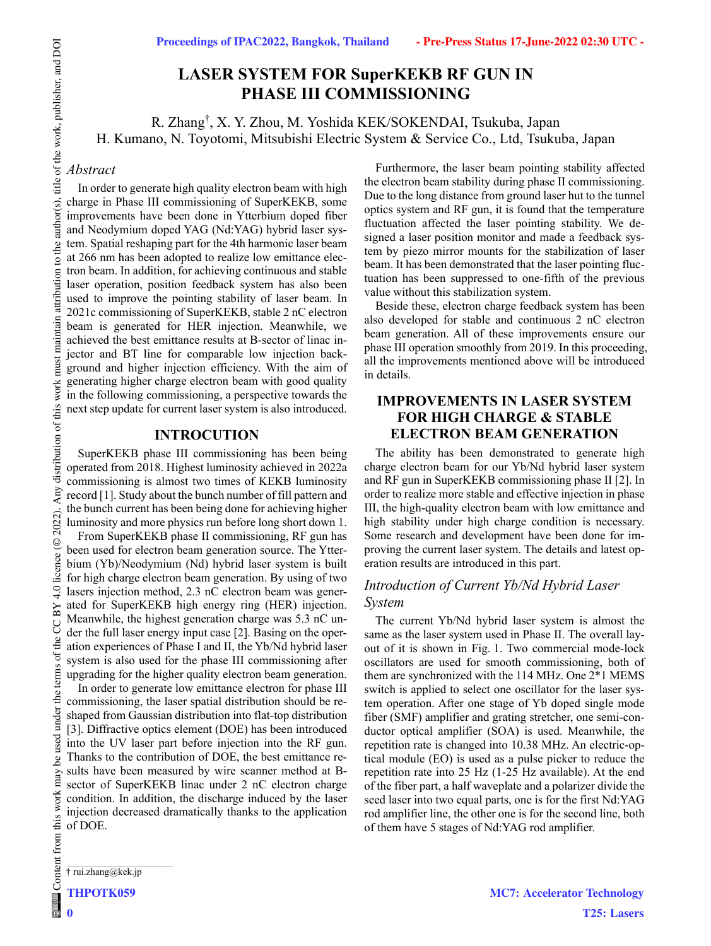# **LASER SYSTEM FOR SuperKEKB RF GUN IN PHASE III COMMISSIONING**

R. Zhang† , X. Y. Zhou, M. Yoshida KEK/SOKENDAI, Tsukuba, Japan H. Kumano, N. Toyotomi, Mitsubishi Electric System & Service Co., Ltd, Tsukuba, Japan

### *Abstract*

In order to generate high quality electron beam with high charge in Phase III commissioning of SuperKEKB, some improvements have been done in Ytterbium doped fiber and Neodymium doped YAG (Nd:YAG) hybrid laser system. Spatial reshaping part for the 4th harmonic laser beam at 266 nm has been adopted to realize low emittance electron beam. In addition, for achieving continuous and stable laser operation, position feedback system has also been used to improve the pointing stability of laser beam. In 2021c commissioning of SuperKEKB, stable 2 nC electron beam is generated for HER injection. Meanwhile, we achieved the best emittance results at B-sector of linac injector and BT line for comparable low injection background and higher injection efficiency. With the aim of generating higher charge electron beam with good quality in the following commissioning, a perspective towards the next step update for current laser system is also introduced.

### **INTROCUTION**

SuperKEKB phase III commissioning has been being operated from 2018. Highest luminosity achieved in 2022a commissioning is almost two times of KEKB luminosity record [1]. Study about the bunch number of fill pattern and the bunch current has been being done for achieving higher luminosity and more physics run before long short down 1.

From SuperKEKB phase II commissioning, RF gun has been used for electron beam generation source. The Ytterbium (Yb)/Neodymium (Nd) hybrid laser system is built for high charge electron beam generation. By using of two lasers injection method, 2.3 nC electron beam was generated for SuperKEKB high energy ring (HER) injection. Meanwhile, the highest generation charge was 5.3 nC under the full laser energy input case [2]. Basing on the operation experiences of Phase I and II, the Yb/Nd hybrid laser system is also used for the phase III commissioning after upgrading for the higher quality electron beam generation.

In order to generate low emittance electron for phase III commissioning, the laser spatial distribution should be reshaped from Gaussian distribution into flat-top distribution [3]. Diffractive optics element (DOE) has been introduced into the UV laser part before injection into the RF gun. Thanks to the contribution of DOE, the best emittance results have been measured by wire scanner method at Bsector of SuperKEKB linac under 2 nC electron charge condition. In addition, the discharge induced by the laser injection decreased dramatically thanks to the application of DOE.

Furthermore, the laser beam pointing stability affected the electron beam stability during phase II commissioning. Due to the long distance from ground laser hut to the tunnel optics system and RF gun, it is found that the temperature fluctuation affected the laser pointing stability. We designed a laser position monitor and made a feedback system by piezo mirror mounts for the stabilization of laser beam. It has been demonstrated that the laser pointing fluctuation has been suppressed to one-fifth of the previous value without this stabilization system.

Beside these, electron charge feedback system has been also developed for stable and continuous 2 nC electron beam generation. All of these improvements ensure our phase III operation smoothly from 2019. In this proceeding, all the improvements mentioned above will be introduced in details.

## **IMPROVEMENTS IN LASER SYSTEM FOR HIGH CHARGE & STABLE ELECTRON BEAM GENERATION**

The ability has been demonstrated to generate high charge electron beam for our Yb/Nd hybrid laser system and RF gun in SuperKEKB commissioning phase II [2]. In order to realize more stable and effective injection in phase III, the high-quality electron beam with low emittance and high stability under high charge condition is necessary. Some research and development have been done for improving the current laser system. The details and latest operation results are introduced in this part.

## *Introduction of Current Yb/Nd Hybrid Laser System*

The current Yb/Nd hybrid laser system is almost the same as the laser system used in Phase II. The overall layout of it is shown in Fig. 1. Two commercial mode-lock oscillators are used for smooth commissioning, both of them are synchronized with the 114 MHz. One 2\*1 MEMS switch is applied to select one oscillator for the laser system operation. After one stage of Yb doped single mode fiber (SMF) amplifier and grating stretcher, one semi-conductor optical amplifier (SOA) is used. Meanwhile, the repetition rate is changed into 10.38 MHz. An electric-optical module (EO) is used as a pulse picker to reduce the repetition rate into 25 Hz (1-25 Hz available). At the end of the fiber part, a half waveplate and a polarizer divide the seed laser into two equal parts, one is for the first Nd:YAG rod amplifier line, the other one is for the second line, both of them have 5 stages of Nd:YAG rod amplifier.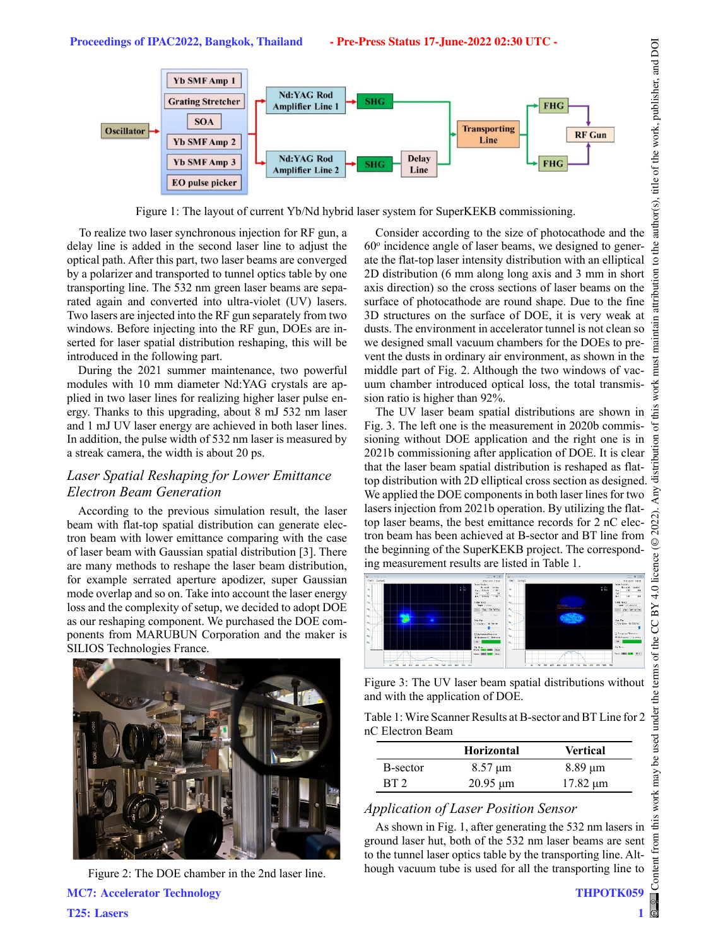

Figure 1: The layout of current Yb/Nd hybrid laser system for SuperKEKB commissioning.

To realize two laser synchronous injection for RF gun, a delay line is added in the second laser line to adjust the optical path. After this part, two laser beams are converged by a polarizer and transported to tunnel optics table by one transporting line. The 532 nm green laser beams are separated again and converted into ultra-violet (UV) lasers. Two lasers are injected into the RF gun separately from two windows. Before injecting into the RF gun, DOEs are inserted for laser spatial distribution reshaping, this will be introduced in the following part.

During the 2021 summer maintenance, two powerful modules with 10 mm diameter Nd:YAG crystals are applied in two laser lines for realizing higher laser pulse energy. Thanks to this upgrading, about 8 mJ 532 nm laser and 1 mJ UV laser energy are achieved in both laser lines. In addition, the pulse width of 532 nm laser is measured by a streak camera, the width is about 20 ps.

## *Laser Spatial Reshaping for Lower Emittance Electron Beam Generation*

According to the previous simulation result, the laser beam with flat-top spatial distribution can generate electron beam with lower emittance comparing with the case of laser beam with Gaussian spatial distribution [3]. There are many methods to reshape the laser beam distribution, for example serrated aperture apodizer, super Gaussian mode overlap and so on. Take into account the laser energy loss and the complexity of setup, we decided to adopt DOE as our reshaping component. We purchased the DOE components from MARUBUN Corporation and the maker is SILIOS Technologies France.



Figure 2: The DOE chamber in the 2nd laser line. MC7: Accelerator Technology

Consider according to the size of photocathode and the 60° incidence angle of laser beams, we designed to generate the flat-top laser intensity distribution with an elliptical 2D distribution (6 mm along long axis and 3 mm in short axis direction) so the cross sections of laser beams on the surface of photocathode are round shape. Due to the fine 3D structures on the surface of DOE, it is very weak at dusts. The environment in accelerator tunnel is not clean so we designed small vacuum chambers for the DOEs to prevent the dusts in ordinary air environment, as shown in the middle part of Fig. 2. Although the two windows of vacuum chamber introduced optical loss, the total transmission ratio is higher than 92%.

The UV laser beam spatial distributions are shown in Fig. 3. The left one is the measurement in 2020b commissioning without DOE application and the right one is in 2021b commissioning after application of DOE. It is clear that the laser beam spatial distribution is reshaped as flattop distribution with 2D elliptical cross section as designed. We applied the DOE components in both laser lines for two lasers injection from 2021b operation. By utilizing the flattop laser beams, the best emittance records for 2 nC electron beam has been achieved at B-sector and BT line from the beginning of the SuperKEKB project. The corresponding measurement results are listed in Table 1.



Figure 3: The UV laser beam spatial distributions without and with the application of DOE.

Table 1: Wire Scanner Results at B-sector and BT Line for 2 nC Electron Beam

|          | <b>Horizontal</b> | <b>Vertical</b> |
|----------|-------------------|-----------------|
| B-sector | $8.57 \mu m$      | $8.89 \mu m$    |
| BT 2     | $20.95 \mu m$     | $17.82 \mu m$   |

### *Application of Laser Position Sensor*

As shown in Fig. 1, after generating the 532 nm lasers in ground laser hut, both of the 532 nm laser beams are sent to the tunnel laser optics table by the transporting line. Although vacuum tube is used for all the transporting line to

1